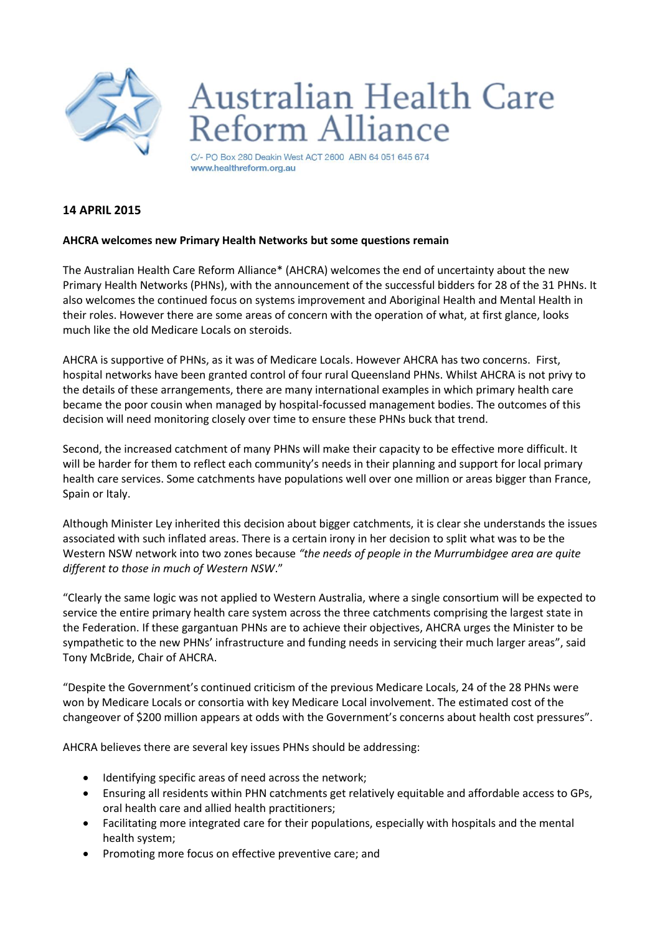

## **Australian Health Care Reform Alliance**

C/- PO Box 280 Deakin West ACT 2600 ABN 64 051 645 674 www.healthreform.org.au

## **14 APRIL 2015**

## **AHCRA welcomes new Primary Health Networks but some questions remain**

The Australian Health Care Reform Alliance\* (AHCRA) welcomes the end of uncertainty about the new Primary Health Networks (PHNs), with the announcement of the successful bidders for 28 of the 31 PHNs. It also welcomes the continued focus on systems improvement and Aboriginal Health and Mental Health in their roles. However there are some areas of concern with the operation of what, at first glance, looks much like the old Medicare Locals on steroids.

AHCRA is supportive of PHNs, as it was of Medicare Locals. However AHCRA has two concerns. First, hospital networks have been granted control of four rural Queensland PHNs. Whilst AHCRA is not privy to the details of these arrangements, there are many international examples in which primary health care became the poor cousin when managed by hospital-focussed management bodies. The outcomes of this decision will need monitoring closely over time to ensure these PHNs buck that trend.

Second, the increased catchment of many PHNs will make their capacity to be effective more difficult. It will be harder for them to reflect each community's needs in their planning and support for local primary health care services. Some catchments have populations well over one million or areas bigger than France, Spain or Italy.

Although Minister Ley inherited this decision about bigger catchments, it is clear she understands the issues associated with such inflated areas. There is a certain irony in her decision to split what was to be the Western NSW network into two zones because *"the needs of people in the Murrumbidgee area are quite different to those in much of Western NSW*."

"Clearly the same logic was not applied to Western Australia, where a single consortium will be expected to service the entire primary health care system across the three catchments comprising the largest state in the Federation. If these gargantuan PHNs are to achieve their objectives, AHCRA urges the Minister to be sympathetic to the new PHNs' infrastructure and funding needs in servicing their much larger areas", said Tony McBride, Chair of AHCRA.

"Despite the Government's continued criticism of the previous Medicare Locals, 24 of the 28 PHNs were won by Medicare Locals or consortia with key Medicare Local involvement. The estimated cost of the changeover of \$200 million appears at odds with the Government's concerns about health cost pressures".

AHCRA believes there are several key issues PHNs should be addressing:

- Identifying specific areas of need across the network;
- Ensuring all residents within PHN catchments get relatively equitable and affordable access to GPs, oral health care and allied health practitioners;
- Facilitating more integrated care for their populations, especially with hospitals and the mental health system;
- Promoting more focus on effective preventive care; and